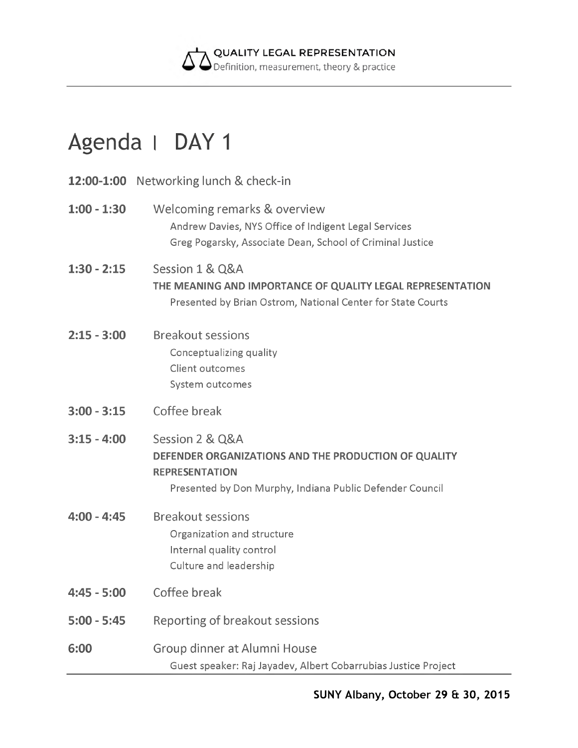

## **Agenda I DAY 1**

|               | <b>12:00-1:00</b> Networking lunch & check-in                                                                                                                |
|---------------|--------------------------------------------------------------------------------------------------------------------------------------------------------------|
| $1:00 - 1:30$ | Welcoming remarks & overview<br>Andrew Davies, NYS Office of Indigent Legal Services<br>Greg Pogarsky, Associate Dean, School of Criminal Justice            |
| $1:30 - 2:15$ | Session 1 & Q&A<br>THE MEANING AND IMPORTANCE OF QUALITY LEGAL REPRESENTATION<br>Presented by Brian Ostrom, National Center for State Courts                 |
| $2:15 - 3:00$ | <b>Breakout sessions</b><br>Conceptualizing quality<br>Client outcomes<br>System outcomes                                                                    |
| $3:00 - 3:15$ | Coffee break                                                                                                                                                 |
| $3:15 - 4:00$ | Session 2 & Q&A<br>DEFENDER ORGANIZATIONS AND THE PRODUCTION OF QUALITY<br><b>REPRESENTATION</b><br>Presented by Don Murphy, Indiana Public Defender Council |
| $4:00 - 4:45$ | <b>Breakout sessions</b><br>Organization and structure<br>Internal quality control<br>Culture and leadership                                                 |
| $4:45 - 5:00$ | Coffee break                                                                                                                                                 |
| $5:00 - 5:45$ | Reporting of breakout sessions                                                                                                                               |
| 6:00          | Group dinner at Alumni House<br>Guest speaker: Raj Jayadev, Albert Cobarrubias Justice Project                                                               |